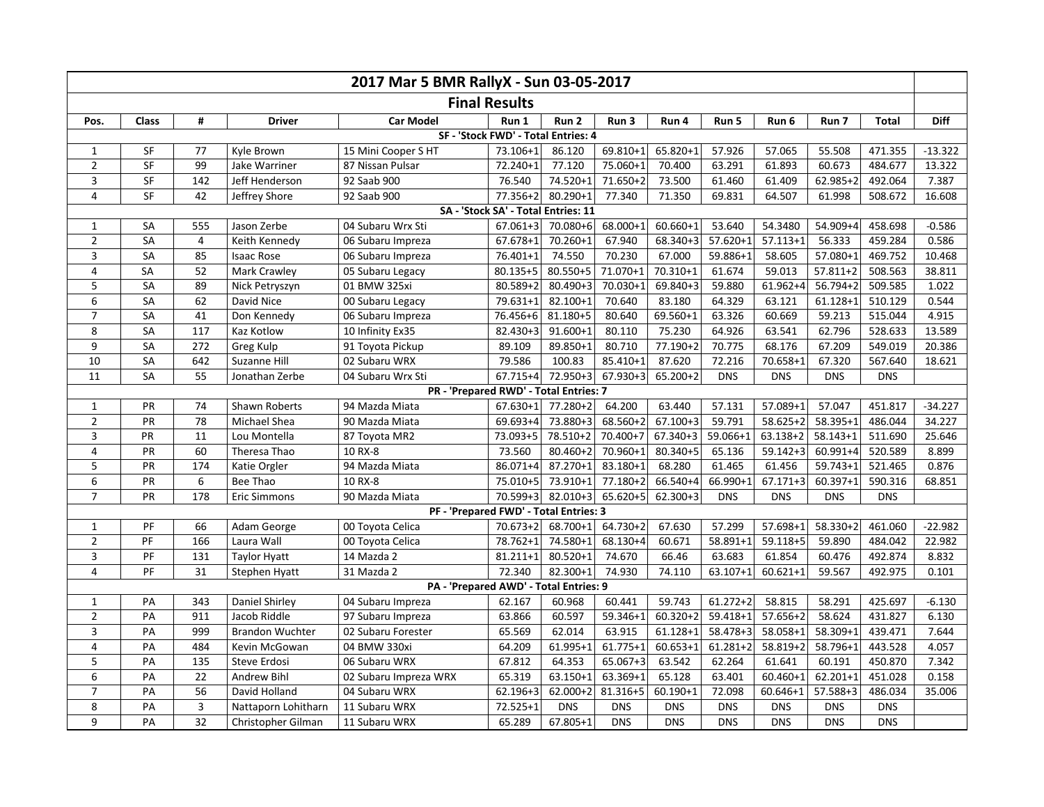| 2017 Mar 5 BMR RallyX - Sun 03-05-2017 |                                        |                |                        |                       |                                        |                   |              |              |              |              |              |              |             |
|----------------------------------------|----------------------------------------|----------------|------------------------|-----------------------|----------------------------------------|-------------------|--------------|--------------|--------------|--------------|--------------|--------------|-------------|
| <b>Final Results</b>                   |                                        |                |                        |                       |                                        |                   |              |              |              |              |              |              |             |
| Pos.                                   | <b>Class</b>                           | #              | <b>Driver</b>          | <b>Car Model</b>      | Run 1                                  | Run <sub>2</sub>  | Run 3        | Run 4        | Run 5        | Run 6        | Run 7        | <b>Total</b> | <b>Diff</b> |
| SF - 'Stock FWD' - Total Entries: 4    |                                        |                |                        |                       |                                        |                   |              |              |              |              |              |              |             |
| $\mathbf{1}$                           | <b>SF</b>                              | 77             | Kyle Brown             | 15 Mini Cooper SHT    | 73.106+1                               | 86.120            | 69.810+1     | 65.820+1     | 57.926       | 57.065       | 55.508       | 471.355      | $-13.322$   |
| $\overline{2}$                         | $\overline{\mathsf{SF}}$               | 99             | Jake Warriner          | 87 Nissan Pulsar      | 72.240+1                               | 77.120            | 75.060+1     | 70.400       | 63.291       | 61.893       | 60.673       | 484.677      | 13.322      |
| 3                                      | SF                                     | 142            | Jeff Henderson         | 92 Saab 900           | 76.540                                 | 74.520+1          | 71.650+2     | 73.500       | 61.460       | 61.409       | $62.985 + 2$ | 492.064      | 7.387       |
| $\overline{4}$                         | SF                                     | 42             | Jeffrey Shore          | 92 Saab 900           | 77.356+2                               | 80.290+1          | 77.340       | 71.350       | 69.831       | 64.507       | 61.998       | 508.672      | 16.608      |
| SA - 'Stock SA' - Total Entries: 11    |                                        |                |                        |                       |                                        |                   |              |              |              |              |              |              |             |
| $\mathbf{1}$                           | <b>SA</b>                              | 555            | Jason Zerbe            | 04 Subaru Wrx Sti     | 67.061+3                               | 70.080+6          | 68.000+1     | 60.660+1     | 53.640       | 54.3480      | 54.909+4     | 458.698      | $-0.586$    |
| $\overline{2}$                         | SA                                     | $\overline{4}$ | Keith Kennedy          | 06 Subaru Impreza     | 67.678+1                               | 70.260+1          | 67.940       | 68.340+3     | $57.620 + 1$ | $57.113 + 1$ | 56.333       | 459.284      | 0.586       |
| 3                                      | SA                                     | 85             | <b>Isaac Rose</b>      | 06 Subaru Impreza     | 76.401+1                               | 74.550            | 70.230       | 67.000       | 59.886+1     | 58.605       | 57.080+1     | 469.752      | 10.468      |
| $\overline{4}$                         | SA                                     | 52             | Mark Crawley           | 05 Subaru Legacy      | 80.135+5                               | 80.550+5          | 71.070+1     | 70.310+1     | 61.674       | 59.013       | $57.811 + 2$ | 508.563      | 38.811      |
| 5                                      | SA                                     | 89             | Nick Petryszyn         | 01 BMW 325xi          | 80.589+2                               | $80.490 + 3$      | 70.030+1     | 69.840+3     | 59.880       | $61.962 + 4$ | $56.794 + 2$ | 509.585      | 1.022       |
| 6                                      | SA                                     | 62             | David Nice             | 00 Subaru Legacy      | 79.631+1                               | 82.100+1          | 70.640       | 83.180       | 64.329       | 63.121       | $61.128 + 1$ | 510.129      | 0.544       |
| $\overline{7}$                         | SA                                     | 41             | Don Kennedy            | 06 Subaru Impreza     | 76.456+6                               | 81.180+5          | 80.640       | 69.560+1     | 63.326       | 60.669       | 59.213       | 515.044      | 4.915       |
| 8                                      | SA                                     | 117            | Kaz Kotlow             | 10 Infinity Ex35      | $82.430 + 3$                           | 91.600+1          | 80.110       | 75.230       | 64.926       | 63.541       | 62.796       | 528.633      | 13.589      |
| 9                                      | SA                                     | 272            | Greg Kulp              | 91 Toyota Pickup      | 89.109                                 | 89.850+1          | 80.710       | 77.190+2     | 70.775       | 68.176       | 67.209       | 549.019      | 20.386      |
| 10                                     | SA                                     | 642            | Suzanne Hill           | 02 Subaru WRX         | 79.586                                 | 100.83            | 85.410+1     | 87.620       | 72.216       | 70.658+1     | 67.320       | 567.640      | 18.621      |
| 11                                     | <b>SA</b>                              | 55             | Jonathan Zerbe         | 04 Subaru Wrx Sti     | $67.715 + 4$                           | 72.950+3          | 67.930+3     | 65.200+2     | <b>DNS</b>   | <b>DNS</b>   | <b>DNS</b>   | <b>DNS</b>   |             |
|                                        | PR - 'Prepared RWD' - Total Entries: 7 |                |                        |                       |                                        |                   |              |              |              |              |              |              |             |
| $\mathbf{1}$                           | PR                                     | 74             | Shawn Roberts          | 94 Mazda Miata        | $67.630 + 1$                           | 77.280+2          | 64.200       | 63.440       | 57.131       | 57.089+1     | 57.047       | 451.817      | $-34.227$   |
| $\overline{2}$                         | PR                                     | 78             | Michael Shea           | 90 Mazda Miata        | 69.693+4                               | 73.880+3          | 68.560+2     | $67.100 + 3$ | 59.791       | $58.625 + 2$ | 58.395+1     | 486.044      | 34.227      |
| $\overline{3}$                         | PR                                     | 11             | Lou Montella           | 87 Toyota MR2         | 73.093+5                               | 78.510+2          | $70.400 + 7$ | $67.340 + 3$ | 59.066+1     | 63.138+2     | $58.143 + 1$ | 511.690      | 25.646      |
| 4                                      | PR                                     | 60             | Theresa Thao           | 10 RX-8               | 73.560                                 | 80.460+2          | 70.960+1     | 80.340+5     | 65.136       | $59.142 + 3$ | $60.991 + 4$ | 520.589      | 8.899       |
| 5                                      | PR                                     | 174            | Katie Orgler           | 94 Mazda Miata        | 86.071+4                               | 87.270+1          | 83.180+1     | 68.280       | 61.465       | 61.456       | $59.743 + 1$ | 521.465      | 0.876       |
| 6                                      | PR                                     | 6              | Bee Thao               | 10 RX-8               | 75.010+5                               | 73.910+1          | 77.180+2     | 66.540+4     | 66.990+1     | $67.171 + 3$ | $60.397 + 1$ | 590.316      | 68.851      |
| $\overline{7}$                         | PR                                     | 178            | <b>Eric Simmons</b>    | 90 Mazda Miata        |                                        | 70.599+3 82.010+3 | 65.620+5     | 62.300+3     | <b>DNS</b>   | <b>DNS</b>   | <b>DNS</b>   | <b>DNS</b>   |             |
|                                        |                                        |                |                        |                       | PF - 'Prepared FWD' - Total Entries: 3 |                   |              |              |              |              |              |              |             |
| $\mathbf{1}$                           | PF                                     | 66             | Adam George            | 00 Toyota Celica      | 70.673+2                               | 68.700+1          | 64.730+2     | 67.630       | 57.299       | 57.698+1     | 58.330+2     | 461.060      | $-22.982$   |
| $\overline{2}$                         | PF                                     | 166            | Laura Wall             | 00 Toyota Celica      | 78.762+1                               | 74.580+1          | 68.130+4     | 60.671       | 58.891+1     | $59.118 + 5$ | 59.890       | 484.042      | 22.982      |
| 3                                      | PF                                     | 131            | <b>Taylor Hyatt</b>    | 14 Mazda 2            | $81.211 + 1$                           | 80.520+1          | 74.670       | 66.46        | 63.683       | 61.854       | 60.476       | 492.874      | 8.832       |
| 4                                      | PF                                     | 31             | Stephen Hyatt          | 31 Mazda 2            | 72.340                                 | 82.300+1          | 74.930       | 74.110       | $63.107 + 1$ | $60.621 + 1$ | 59.567       | 492.975      | 0.101       |
|                                        |                                        |                |                        |                       | PA - 'Prepared AWD' - Total Entries: 9 |                   |              |              |              |              |              |              |             |
| $\mathbf{1}$                           | PA                                     | 343            | Daniel Shirley         | 04 Subaru Impreza     | 62.167                                 | 60.968            | 60.441       | 59.743       | $61.272 + 2$ | 58.815       | 58.291       | 425.697      | $-6.130$    |
| $\overline{2}$                         | PA                                     | 911            | Jacob Riddle           | 97 Subaru Impreza     | 63.866                                 | 60.597            | 59.346+1     | $60.320 + 2$ | $59.418 + 1$ | 57.656+2     | 58.624       | 431.827      | 6.130       |
| $\overline{3}$                         | PA                                     | 999            | <b>Brandon Wuchter</b> | 02 Subaru Forester    | 65.569                                 | 62.014            | 63.915       | $61.128 + 1$ | 58.478+3     | 58.058+1     | 58.309+1     | 439.471      | 7.644       |
| $\pmb{4}$                              | PA                                     | 484            | Kevin McGowan          | 04 BMW 330xi          | 64.209                                 | 61.995+1          | $61.775 + 1$ | $60.653 + 1$ | 61.281+2     | 58.819+2     | 58.796+1     | 443.528      | 4.057       |
| 5                                      | PA                                     | 135            | Steve Erdosi           | 06 Subaru WRX         | 67.812                                 | 64.353            | 65.067+3     | 63.542       | 62.264       | 61.641       | 60.191       | 450.870      | 7.342       |
| 6                                      | PA                                     | 22             | Andrew Bihl            | 02 Subaru Impreza WRX | 65.319                                 | 63.150+1          | 63.369+1     | 65.128       | 63.401       | $60.460 + 1$ | $62.201 + 1$ | 451.028      | 0.158       |
| $\overline{7}$                         | PA                                     | 56             | David Holland          | 04 Subaru WRX         | 62.196+3                               | 62.000+2          | 81.316+5     | $60.190 + 1$ | 72.098       | $60.646 + 1$ | $57.588 + 3$ | 486.034      | 35.006      |
| 8                                      | PA                                     | $\mathbf{3}$   | Nattaporn Lohitharn    | 11 Subaru WRX         | 72.525+1                               | <b>DNS</b>        | <b>DNS</b>   | <b>DNS</b>   | <b>DNS</b>   | <b>DNS</b>   | <b>DNS</b>   | <b>DNS</b>   |             |
| 9                                      | PA                                     | 32             | Christopher Gilman     | 11 Subaru WRX         | 65.289                                 | 67.805+1          | <b>DNS</b>   | <b>DNS</b>   | <b>DNS</b>   | <b>DNS</b>   | <b>DNS</b>   | <b>DNS</b>   |             |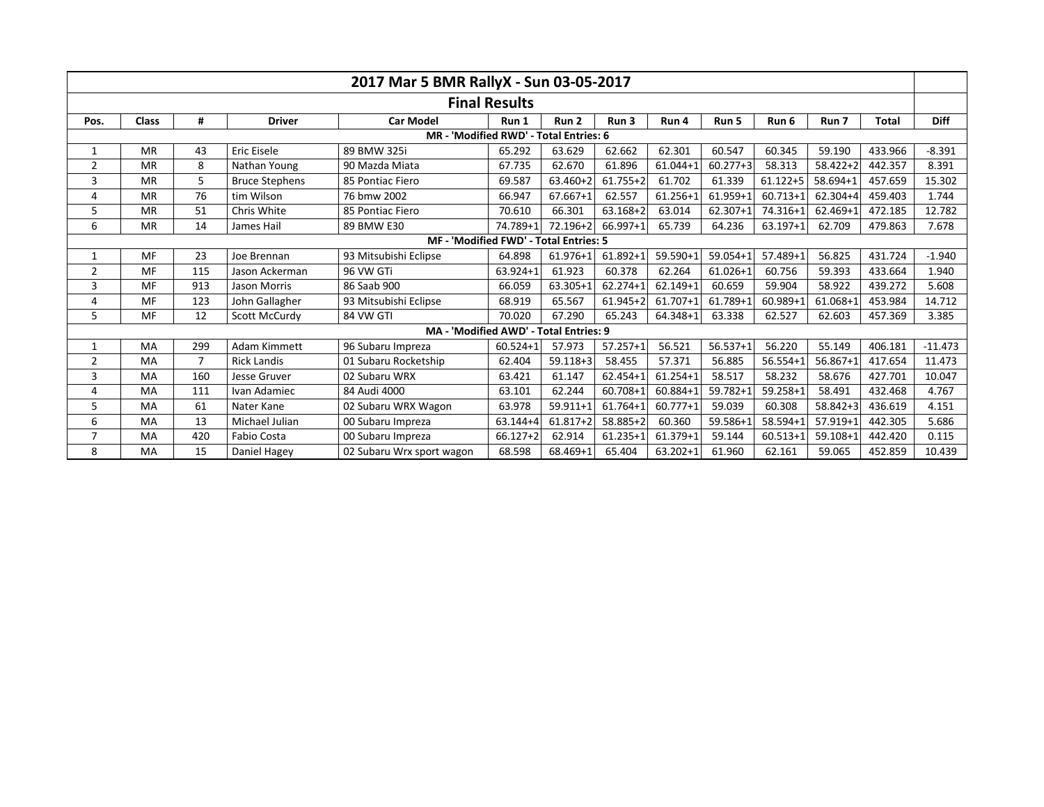|                                        |              |                |                       | 2017 Mar 5 BMR RallyX - Sun 03-05-2017 |              |              |              |              |              |              |              |              |             |
|----------------------------------------|--------------|----------------|-----------------------|----------------------------------------|--------------|--------------|--------------|--------------|--------------|--------------|--------------|--------------|-------------|
| <b>Final Results</b>                   |              |                |                       |                                        |              |              |              |              |              |              |              |              |             |
| Pos.                                   | <b>Class</b> | #              | <b>Driver</b>         | <b>Car Model</b>                       | Run 1        | Run 2        | Run 3        | Run 4        | Run 5        | Run 6        | Run 7        | <b>Total</b> | <b>Diff</b> |
| MR - 'Modified RWD' - Total Entries: 6 |              |                |                       |                                        |              |              |              |              |              |              |              |              |             |
| 1                                      | <b>MR</b>    | 43             | Eric Eisele           | 89 BMW 325i                            | 65.292       | 63.629       | 62.662       | 62.301       | 60.547       | 60.345       | 59.190       | 433.966      | $-8.391$    |
| 2                                      | <b>MR</b>    | 8              | Nathan Young          | 90 Mazda Miata                         | 67.735       | 62.670       | 61.896       | $61.044 + 1$ | $60.277 + 3$ | 58.313       | $58.422 + 2$ | 442.357      | 8.391       |
| 3                                      | <b>MR</b>    | 5              | <b>Bruce Stephens</b> | 85 Pontiac Fiero                       | 69.587       | 63.460+2     | $61.755 + 2$ | 61.702       | 61.339       | $61.122 + 5$ | $58.694 + 1$ | 457.659      | 15.302      |
| 4                                      | <b>MR</b>    | 76             | tim Wilson            | 76 bmw 2002                            | 66.947       | $67.667 + 1$ | 62.557       | 61.256+1     | 61.959+1     | $60.713 + 1$ | 62.304+4     | 459.403      | 1.744       |
| 5                                      | <b>MR</b>    | 51             | Chris White           | 85 Pontiac Fiero                       | 70.610       | 66.301       | $63.168 + 2$ | 63.014       | 62.307+1     | 74.316+1     | 62.469+1     | 472.185      | 12.782      |
| 6                                      | <b>MR</b>    | 14             | James Hail            | 89 BMW E30                             | 74.789+1     | 72.196+2     | 66.997+1     | 65.739       | 64.236       | $63.197 + 1$ | 62.709       | 479.863      | 7.678       |
| MF - 'Modified FWD' - Total Entries: 5 |              |                |                       |                                        |              |              |              |              |              |              |              |              |             |
| 1                                      | MF           | 23             | Joe Brennan           | 93 Mitsubishi Eclipse                  | 64.898       | 61.976+1     | 61.892+1     | 59.590+1     | $59.054 + 1$ | 57.489+1     | 56.825       | 431.724      | $-1.940$    |
| $\overline{2}$                         | MF           | 115            | Jason Ackerman        | 96 VW GTi                              | 63.924+1     | 61.923       | 60.378       | 62.264       | $61.026 + 1$ | 60.756       | 59.393       | 433.664      | 1.940       |
| 3                                      | MF           | 913            | Jason Morris          | 86 Saab 900                            | 66.059       | 63.305+1     | $62.274 + 1$ | $62.149 + 1$ | 60.659       | 59.904       | 58.922       | 439.272      | 5.608       |
| 4                                      | MF           | 123            | John Gallagher        | 93 Mitsubishi Eclipse                  | 68.919       | 65.567       | $61.945 + 2$ | 61.707+1     | 61.789+1     | 60.989+1     | 61.068+1     | 453.984      | 14.712      |
| 5                                      | MF           | 12             | Scott McCurdy         | 84 VW GTI                              | 70.020       | 67.290       | 65.243       | 64.348+1     | 63.338       | 62.527       | 62.603       | 457.369      | 3.385       |
|                                        |              |                |                       | MA - 'Modified AWD' - Total Entries: 9 |              |              |              |              |              |              |              |              |             |
| 1                                      | MA           | 299            | Adam Kimmett          | 96 Subaru Impreza                      | $60.524 + 1$ | 57.973       | $57.257 + 1$ | 56.521       | $56.537 + 1$ | 56.220       | 55.149       | 406.181      | $-11.473$   |
| 2                                      | MA           | $\overline{7}$ | <b>Rick Landis</b>    | 01 Subaru Rocketship                   | 62.404       | $59.118 + 3$ | 58.455       | 57.371       | 56.885       | $56.554 + 1$ | $56.867 + 1$ | 417.654      | 11.473      |
| 3                                      | MA           | 160            | Jesse Gruver          | 02 Subaru WRX                          | 63.421       | 61.147       | $62.454 + 1$ | $61.254 + 1$ | 58.517       | 58.232       | 58.676       | 427.701      | 10.047      |
| 4                                      | MA           | 111            | Ivan Adamiec          | 84 Audi 4000                           | 63.101       | 62.244       | $60.708 + 1$ | 60.884+1     | $59.782 + 1$ | $59.258 + 1$ | 58.491       | 432.468      | 4.767       |
| 5                                      | MA           | 61             | Nater Kane            | 02 Subaru WRX Wagon                    | 63.978       | $59.911 + 1$ | 61.764+1     | $60.777 + 1$ | 59.039       | 60.308       | 58.842+3     | 436.619      | 4.151       |
| 6                                      | MA           | 13             | Michael Julian        | 00 Subaru Impreza                      | 63.144+4     | $61.817 + 2$ | 58.885+2     | 60.360       | 59.586+1     | $58.594 + 1$ | $57.919 + 1$ | 442.305      | 5.686       |
| $\overline{7}$                         | MA           | 420            | <b>Fabio Costa</b>    | 00 Subaru Impreza                      | $66.127 + 2$ | 62.914       | $61.235 + 1$ | 61.379+1     | 59.144       | $60.513 + 1$ | $59.108 + 1$ | 442.420      | 0.115       |
| 8                                      | MA           | 15             | Daniel Hagey          | 02 Subaru Wrx sport wagon              | 68.598       | 68.469+1     | 65.404       | $63.202 + 1$ | 61.960       | 62.161       | 59.065       | 452.859      | 10.439      |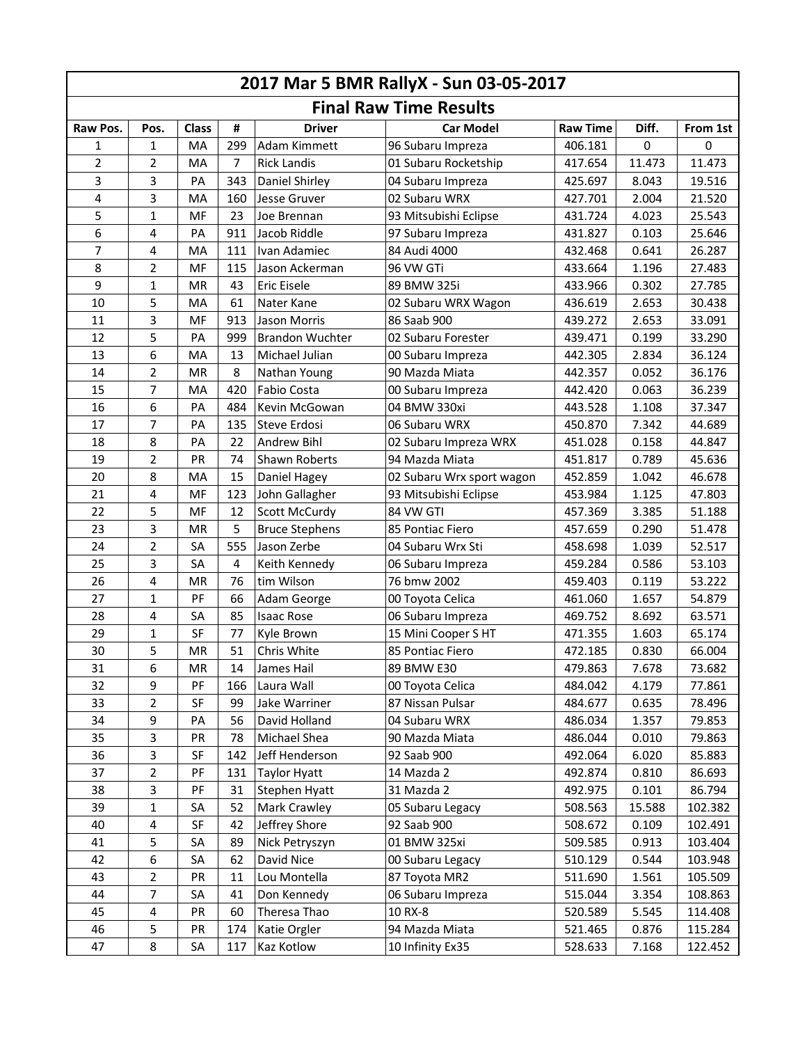| 2017 Mar 5 BMR RallyX - Sun 03-05-2017 |                |              |                |                        |                           |                 |             |          |  |  |  |
|----------------------------------------|----------------|--------------|----------------|------------------------|---------------------------|-----------------|-------------|----------|--|--|--|
| <b>Final Raw Time Results</b>          |                |              |                |                        |                           |                 |             |          |  |  |  |
| Raw Pos.                               | Pos.           | <b>Class</b> | #              | <b>Driver</b>          | <b>Car Model</b>          | <b>Raw Time</b> | Diff.       | From 1st |  |  |  |
| 1                                      | 1              | MA           | 299            | Adam Kimmett           | 96 Subaru Impreza         | 406.181         | $\mathbf 0$ | 0        |  |  |  |
| $\overline{2}$                         | 2              | MA           | $\overline{7}$ | <b>Rick Landis</b>     | 01 Subaru Rocketship      | 417.654         | 11.473      | 11.473   |  |  |  |
| 3                                      | 3              | PA           | 343            | Daniel Shirley         | 04 Subaru Impreza         | 425.697         | 8.043       | 19.516   |  |  |  |
| 4                                      | $\overline{3}$ | MA           | 160            | Jesse Gruver           | 02 Subaru WRX             | 427.701         | 2.004       | 21.520   |  |  |  |
| 5                                      | 1              | MF           | 23             | Joe Brennan            | 93 Mitsubishi Eclipse     | 431.724         | 4.023       | 25.543   |  |  |  |
| 6                                      | 4              | PA           | 911            | Jacob Riddle           | 97 Subaru Impreza         | 431.827         | 0.103       | 25.646   |  |  |  |
| 7                                      | 4              | MA           | 111            | Ivan Adamiec           | 84 Audi 4000              | 432.468         | 0.641       | 26.287   |  |  |  |
| 8                                      | $\overline{2}$ | MF           | 115            | Jason Ackerman         | 96 VW GTi                 | 433.664         | 1.196       | 27.483   |  |  |  |
| 9                                      | 1              | <b>MR</b>    | 43             | Eric Eisele            | 89 BMW 325i               | 433.966         | 0.302       | 27.785   |  |  |  |
| 10                                     | 5              | MA           | 61             | Nater Kane             | 02 Subaru WRX Wagon       | 436.619         | 2.653       | 30.438   |  |  |  |
| 11                                     | 3              | MF           | 913            | Jason Morris           | 86 Saab 900               | 439.272         | 2.653       | 33.091   |  |  |  |
| 12                                     | 5              | PA           | 999            | <b>Brandon Wuchter</b> | 02 Subaru Forester        | 439.471         | 0.199       | 33.290   |  |  |  |
| 13                                     | 6              | MA           | 13             | Michael Julian         | 00 Subaru Impreza         | 442.305         | 2.834       | 36.124   |  |  |  |
| 14                                     | $\overline{2}$ | <b>MR</b>    | 8              | Nathan Young           | 90 Mazda Miata            | 442.357         | 0.052       | 36.176   |  |  |  |
| 15                                     | $\overline{7}$ | MA           | 420            | <b>Fabio Costa</b>     | 00 Subaru Impreza         | 442.420         | 0.063       | 36.239   |  |  |  |
| 16                                     | 6              | PA           | 484            | Kevin McGowan          | 04 BMW 330xi              | 443.528         | 1.108       | 37.347   |  |  |  |
| 17                                     | 7              | PA           | 135            | Steve Erdosi           | 06 Subaru WRX             | 450.870         | 7.342       | 44.689   |  |  |  |
| 18                                     | 8              | PA           | 22             | Andrew Bihl            | 02 Subaru Impreza WRX     | 451.028         | 0.158       | 44.847   |  |  |  |
| 19                                     | 2              | PR           | 74             | Shawn Roberts          | 94 Mazda Miata            | 451.817         | 0.789       | 45.636   |  |  |  |
| 20                                     | 8              | MA           | 15             | Daniel Hagey           | 02 Subaru Wrx sport wagon | 452.859         | 1.042       | 46.678   |  |  |  |
| 21                                     | 4              | MF           | 123            | John Gallagher         | 93 Mitsubishi Eclipse     | 453.984         | 1.125       | 47.803   |  |  |  |
| 22                                     | 5              | MF           | 12             | Scott McCurdy          | 84 VW GTI                 | 457.369         | 3.385       | 51.188   |  |  |  |
| 23                                     | 3              | MR           | 5              | <b>Bruce Stephens</b>  | 85 Pontiac Fiero          | 457.659         | 0.290       | 51.478   |  |  |  |
| 24                                     | 2              | SA           | 555            | Jason Zerbe            | 04 Subaru Wrx Sti         | 458.698         | 1.039       | 52.517   |  |  |  |
| 25                                     | 3              | SA           | 4              | Keith Kennedy          | 06 Subaru Impreza         | 459.284         | 0.586       | 53.103   |  |  |  |
| 26                                     | 4              | MR           | 76             | tim Wilson             | 76 bmw 2002               | 459.403         | 0.119       | 53.222   |  |  |  |
| 27                                     | 1              | PF           | 66             | Adam George            | 00 Toyota Celica          | 461.060         | 1.657       | 54.879   |  |  |  |
| 28                                     | 4              | SA           | 85             | <b>Isaac Rose</b>      | 06 Subaru Impreza         | 469.752         | 8.692       | 63.571   |  |  |  |
| 29                                     | 1              | SF           | 77             | Kyle Brown             | 15 Mini Cooper SHT        | 471.355         | 1.603       | 65.174   |  |  |  |
| 30                                     | 5              | MR           | 51             | Chris White            | 85 Pontiac Fiero          | 472.185         | 0.830       | 66.004   |  |  |  |
| 31                                     | 6              | MR           | 14             | James Hail             | 89 BMW E30                | 479.863         | 7.678       | 73.682   |  |  |  |
| 32                                     | 9              | PF           | 166            | Laura Wall             | 00 Toyota Celica          | 484.042         | 4.179       | 77.861   |  |  |  |
| 33                                     | $\overline{2}$ | SF           | 99             | Jake Warriner          | 87 Nissan Pulsar          | 484.677         | 0.635       | 78.496   |  |  |  |
| 34                                     | 9              | PA           | 56             | David Holland          | 04 Subaru WRX             | 486.034         | 1.357       | 79.853   |  |  |  |
| 35                                     | 3              | <b>PR</b>    | 78             | Michael Shea           | 90 Mazda Miata            | 486.044         | 0.010       | 79.863   |  |  |  |
| 36                                     | 3              | SF           | 142            | Jeff Henderson         | 92 Saab 900               | 492.064         | 6.020       | 85.883   |  |  |  |
| 37                                     | $\overline{2}$ | PF           | 131            | <b>Taylor Hyatt</b>    | 14 Mazda 2                | 492.874         | 0.810       | 86.693   |  |  |  |
| 38                                     | 3              | PF           | 31             | Stephen Hyatt          | 31 Mazda 2                | 492.975         | 0.101       | 86.794   |  |  |  |
| 39                                     | $\mathbf{1}$   | SA           | 52             | Mark Crawley           | 05 Subaru Legacy          | 508.563         | 15.588      | 102.382  |  |  |  |
| 40                                     | 4              | SF           | 42             | Jeffrey Shore          | 92 Saab 900               | 508.672         | 0.109       | 102.491  |  |  |  |
| 41                                     | 5              | SA           | 89             | Nick Petryszyn         | 01 BMW 325xi              | 509.585         | 0.913       | 103.404  |  |  |  |
| 42                                     | 6              | SA           | 62             | David Nice             | 00 Subaru Legacy          | 510.129         | 0.544       | 103.948  |  |  |  |
| 43                                     | $\overline{2}$ | PR           | 11             | Lou Montella           | 87 Toyota MR2             | 511.690         | 1.561       | 105.509  |  |  |  |
| 44                                     | $\overline{7}$ | SA           | 41             | Don Kennedy            | 06 Subaru Impreza         | 515.044         | 3.354       | 108.863  |  |  |  |
| 45                                     | 4              | <b>PR</b>    | 60             | Theresa Thao           | 10 RX-8                   | 520.589         | 5.545       | 114.408  |  |  |  |
| 46                                     | 5              | PR           | 174            | Katie Orgler           | 94 Mazda Miata            | 521.465         | 0.876       | 115.284  |  |  |  |
| 47                                     | 8              | SA           | 117            | Kaz Kotlow             | 10 Infinity Ex35          | 528.633         | 7.168       | 122.452  |  |  |  |
|                                        |                |              |                |                        |                           |                 |             |          |  |  |  |